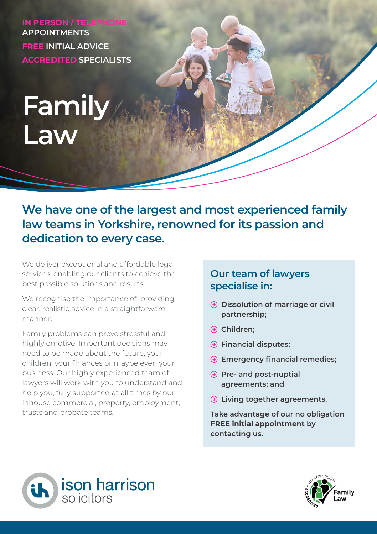**IN PERSON / TELEPHO APPOINTMENTS FREE INITIAL ADVICE ACCREDITED SPECIALISTS**

# **Family Law**

# **We have one of the largest and most experienced family law teams in Yorkshire, renowned for its passion and dedication to every case.**

We deliver exceptional and affordable legal services, enabling our clients to achieve the best possible solutions and results.

We recognise the importance of providing clear, realistic advice in a straightforward manner.

Family problems can prove stressful and highly emotive. Important decisions may need to be made about the future, your children, your finances or maybe even your business. Our highly experienced team of lawyers will work with you to understand and help you, fully supported at all times by our inhouse commercial, property, employment, trusts and probate teams.

### **Our team of lawyers specialise in:**

- **Dissolution of marriage or civil partnership;**
- **Children;**
- **Financial disputes;**
- **Emergency financial remedies;**
- **Pre- and post-nuptial agreements; and**
- **Living together agreements.**

**Take advantage of our no obligation FREE initial appointment by contacting us.**